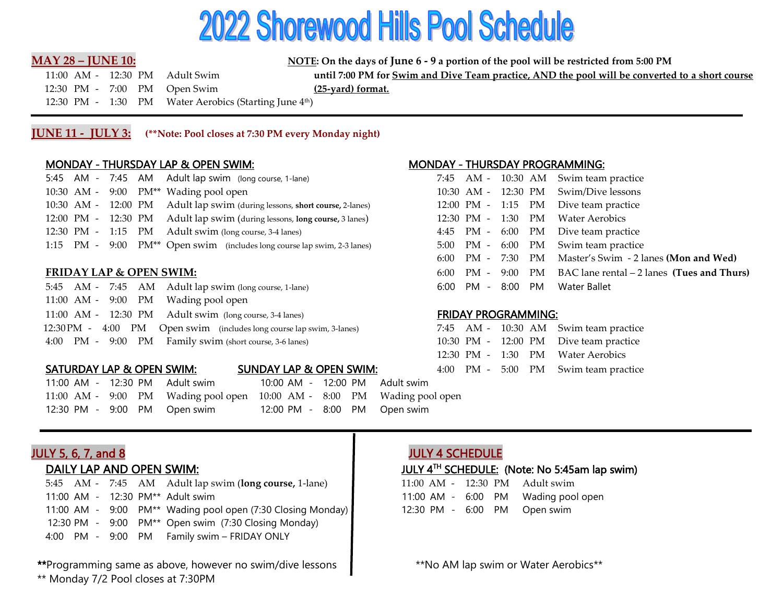# **2022 Shorewood Hills Pool Schedule**

**MAY 28 – JUNE 10: NOTE:** On the days of June 6 - 9 a portion of the pool will be restricted from 5:00 PM

 12:30 PM - 7:00 PM Open Swim **(25-yard) format.** 12:30 PM - 1:30 PM Water Aerobics (Starting June 4th)

11:00 AM - 12:30 PM Adult Swim **until 7:00 PM for Swim and Dive Team practice, AND the pool will be converted to a short course**

**JUNE 11 - JULY 3: (\*\*Note: Pool closes at 7:30 PM every Monday night)**

## MONDAY - THURSDAY LAP & OPEN SWIM: MONDAY - THURSDAY PROGRAMMING:

|  |  | 5:45 AM - 7:45 AM Adult lap swim (long course, 1-lane)                     |  |  | 7:45 AM - 10:30 AM Swim team practice |
|--|--|----------------------------------------------------------------------------|--|--|---------------------------------------|
|  |  | 10:30 AM - 9:00 PM <sup>**</sup> Wading pool open                          |  |  | 10:30 AM - 12:30 PM Swim/Dive lessons |
|  |  | 10:30 AM - 12:00 PM Adult lap swim (during lessons, short course, 2-lanes) |  |  | 12:00 PM - 1:15 PM Dive team practice |
|  |  | 12:00 PM - 12:30 PM Adult lap swim (during lessons, long course, 3 lanes)  |  |  | 12:30 PM - 1:30 PM Water Aerobics     |
|  |  | 12:30 PM - 1:15 PM Adult swim (long course, 3-4 lanes)                     |  |  | 4:45 PM - 6:00 PM Dive team practice  |
|  |  | 1:15 PM - 9:00 PM** Open swim (includes long course lap swim, 2-3 lanes)   |  |  | 5:00 PM - 6:00 PM Swim team practice  |

## **FRIDAY LAP & OPEN SWIM:**

| 5:45 AM - 7:45 AM Adult lap swim (long course, 1-lane)                | 6:00 PM - 8:00 PM Water Ballet         |
|-----------------------------------------------------------------------|----------------------------------------|
| 11:00 AM - 9:00 PM Wading pool open                                   |                                        |
| $11:00$ AM - $12:30$ PM Adult swim (long course, 3-4 lanes)           | <b>FRIDAY PROGRAMMING:</b>             |
| 12:30 PM - 4:00 PM Open swim (includes long course lap swim, 3-lanes) | 7:45 AM - 10:30 AM Swim team practice  |
| 4:00 PM - 9:00 PM Family swim (short course, 3-6 lanes)               | 10:30 PM - 12:00 PM Dive team practice |

## SATURDAY LAP & OPEN SWIM: SUNDAY LAP & OPEN SWIM:

11:00 AM - 12:30 PM Adult swim 10:00 AM - 12:00 PM Adult swim

11:00 AM - 9:00 PM Wading pool open 10:00 AM - 8:00 PM Wading pool open 12:30 PM - 9:00 PM Open swim 12:00 PM - 8:00 PM Open swim

|  |  |                                    | 5:45 AM - 7:45 AM Adult lap swim (long course, 1-lane)                  |  |  |  | $11:00$ AM - $12:30$ PM Adult swim  |
|--|--|------------------------------------|-------------------------------------------------------------------------|--|--|--|-------------------------------------|
|  |  |                                    | 11:00 AM - 12:30 PM** Adult swim                                        |  |  |  | 11:00 AM - 6:00 PM Wading pool open |
|  |  |                                    | 11:00 AM - 9:00 PM <sup>**</sup> Wading pool open (7:30 Closing Monday) |  |  |  | 12:30 PM - 6:00 PM Open swim        |
|  |  |                                    | 12:30 PM - 9:00 PM** Open swim (7:30 Closing Monday)                    |  |  |  |                                     |
|  |  | $\sim$ $\sim$ $\sim$ $\sim$ $\sim$ | <b>FRIBANGANDING</b>                                                    |  |  |  |                                     |

4:00 PM - 9:00 PM Family swim – FRIDAY ONLY

\*\*Programming same as above, however no swim/dive lessons  $\bullet$  \*\*No AM lap swim or Water Aerobics\*\*

\*\* Monday 7/2 Pool closes at 7:30PM

|      |           |  | 7:45 AM - 10:30 AM Swim team practice              |
|------|-----------|--|----------------------------------------------------|
|      |           |  | 10:30 AM - 12:30 PM Swim/Dive lessons              |
|      |           |  | 12:00 PM - 1:15 PM Dive team practice              |
|      |           |  | 12:30 PM - 1:30 PM Water Aerobics                  |
|      |           |  | 4:45 PM - 6:00 PM Dive team practice               |
|      |           |  | 5:00 PM - 6:00 PM Swim team practice               |
| 6:00 |           |  | PM - 7:30 PM Master's Swim - 2 lanes (Mon and Wed) |
| 6:00 | PM - 9:00 |  | PM BAC lane rental – 2 lanes (Tues and Thurs)      |
| 6:00 |           |  | PM - 8:00 PM Water Ballet                          |

### **FRIDAY PROGRAMMING:**

|  |  | 7:45 AM - 10:30 AM Swim team practice  |
|--|--|----------------------------------------|
|  |  | 10:30 PM - 12:00 PM Dive team practice |
|  |  | 12:30 PM - 1:30 PM Water Aerobics      |
|  |  | 4:00 PM - 5:00 PM Swim team practice   |

# JULY 5, 6, 7, and 8 JULY 4 SCHEDULE

## DAILY LAP AND OPEN SWIM:  $\parallel$  JULY 4<sup>TH</sup> SCHEDULE: (Note: No 5:45am lap swim)

|  |  | 11:00 AM - 12:30 PM Adult swim      |
|--|--|-------------------------------------|
|  |  | 11:00 AM - 6:00 PM Wading pool open |
|  |  | 12:30 PM - 6:00 PM Open swim        |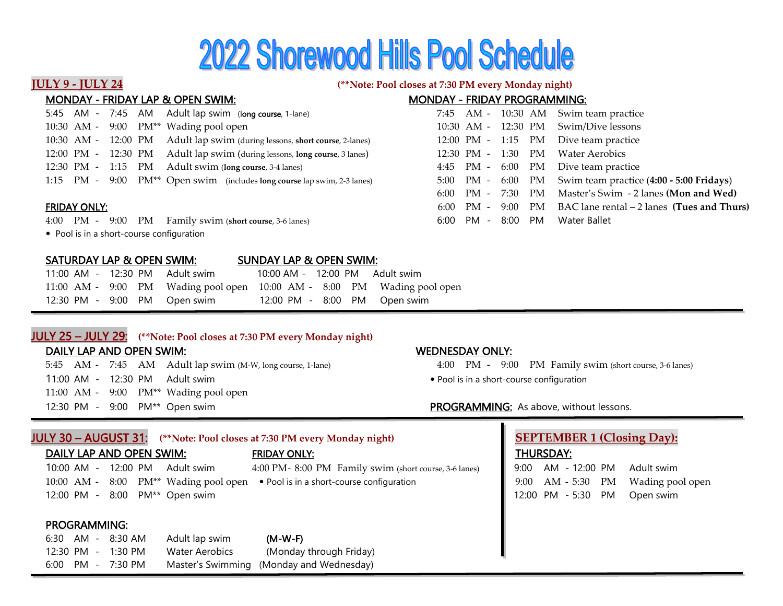# **2022 Shorewood Hills Pool Schedule**

## **JULY 9 - JULY 24 (\*\*Note: Pool closes at 7:30 PM every Monday night)**

| <b>MONDAY - FRIDAY LAP &amp; OPEN SWIM:</b>                                          | <b>MONDAY - FRIDAY PROGRAMMING:</b>                                    |
|--------------------------------------------------------------------------------------|------------------------------------------------------------------------|
| 5:45 AM - 7:45 AM Adult lap swim (long course, 1-lane)                               | 7:45 AM - 10:30 AM Swim team practice                                  |
| 10:30 AM - 9:00 PM** Wading pool open                                                | 10:30 AM - 12:30 PM<br>Swim/Dive lessons                               |
| Adult lap swim (during lessons, short course, 2-lanes)<br>10:30 AM - 12:00 PM        | Dive team practice<br>12:00 PM - 1:15 PM                               |
| 12:00 PM - 12:30 PM Adult lap swim (during lessons, long course, 3 lanes)            | 12:30 PM - 1:30 PM<br>Water Aerobics                                   |
| 12:30 PM - 1:15 PM<br>Adult swim (long course, 3-4 lanes)                            | Dive team practice<br>PM<br>$4:45$ PM - $6:00$                         |
| 1:15 PM - 9:00 PM <sup>**</sup> Open swim (includes long course lap swim, 2-3 lanes) | Swim team practice (4:00 - 5:00 Fridays)<br>5:00 PM - 6:00 PM          |
|                                                                                      | Master's Swim - 2 lanes (Mon and Wed)<br>$6:00$ PM - 7:30 PM           |
| <b>FRIDAY ONLY:</b>                                                                  | BAC lane rental $-2$ lanes (Tues and Thurs)<br>PM<br>PM - 9:00<br>6:00 |
| Family swim (short course, 3-6 lanes)<br>$4:00$ PM - $9:00$<br>PM                    | 8:00<br>Water Ballet<br>PM.<br>PM -<br>6:00                            |
| • Pool is in a short-course configuration                                            |                                                                        |
|                                                                                      |                                                                        |

## SATURDAY LAP & OPEN SWIM: SUNDAY LAP & OPEN SWIM:

| 11:00 AM - 12:30 PM Adult swim |  | 10:00 AM - 12:00 PM Adult swim |  |                                                                         |
|--------------------------------|--|--------------------------------|--|-------------------------------------------------------------------------|
|                                |  |                                |  | 11:00 AM - 9:00 PM Wading pool open 10:00 AM - 8:00 PM Wading pool open |
| 12:30 PM - 9:00 PM Open swim   |  |                                |  | 12:00 PM - 8:00 PM Open swim                                            |

# JULY 25 ¦ JULY 29: **(\*\*Note: Pool closes at 7:30 PM every Monday night)**

### DAILY LAP AND OPEN SWIM: WEDNESDAY ONLY:

5:45 AM - 7:45 AM Adult lap swim (M-W, long course, 1-lane) 4:00 PM - 9:00 PM Family swim (short course, 3-6 lanes) 11:00 AM - 12:30 PM Adult swim v Pool is in a short-course configuration 11:00 AM - 9:00 PM\*\* Wading pool open 12:30 PM - 9:00 PM<sup>\*\*</sup> Open swim extended the state of the state of PROGRAMMING: As above, without lessons.

- 
- 

| JULY 30 – AUGUST 31:                                 | (**Note: Pool closes at 7:30 PM every Monday night)                  | <b>SEPTEMBER 1 (Closing Day):</b>        |
|------------------------------------------------------|----------------------------------------------------------------------|------------------------------------------|
| DAILY LAP AND OPEN SWIM:                             | <b>FRIDAY ONLY:</b>                                                  | <b>THURSDAY:</b>                         |
| $10:00$ AM -<br>12:00 PM<br>Adult swim               | 4:00 PM-8:00 PM Family swim (short course, 3-6 lanes)                | AM - 12:00 PM<br>9:00<br>Adult swim      |
| $10:00$ AM -                                         | 8:00 PM** Wading pool open . Pool is in a short-course configuration | AM - 5:30 PM<br>Wading pool open<br>9:00 |
| 8:00 PM <sup>**</sup> Open swim<br>12:00 PM -        |                                                                      | 12:00 PM - 5:30<br>Open swim<br>PM       |
|                                                      |                                                                      |                                          |
| <b>PROGRAMMING:</b>                                  |                                                                      |                                          |
| AM -<br>8:30 AM<br>Adult lap swim<br>6:30            | $(M-W-F)$                                                            |                                          |
| <b>Water Aerobics</b><br>$12:30$ PM $-$<br>$1:30$ PM | (Monday through Friday)                                              |                                          |
| $6:00$ PM - 7:30 PM                                  | Master's Swimming (Monday and Wednesday)                             |                                          |
|                                                      |                                                                      |                                          |